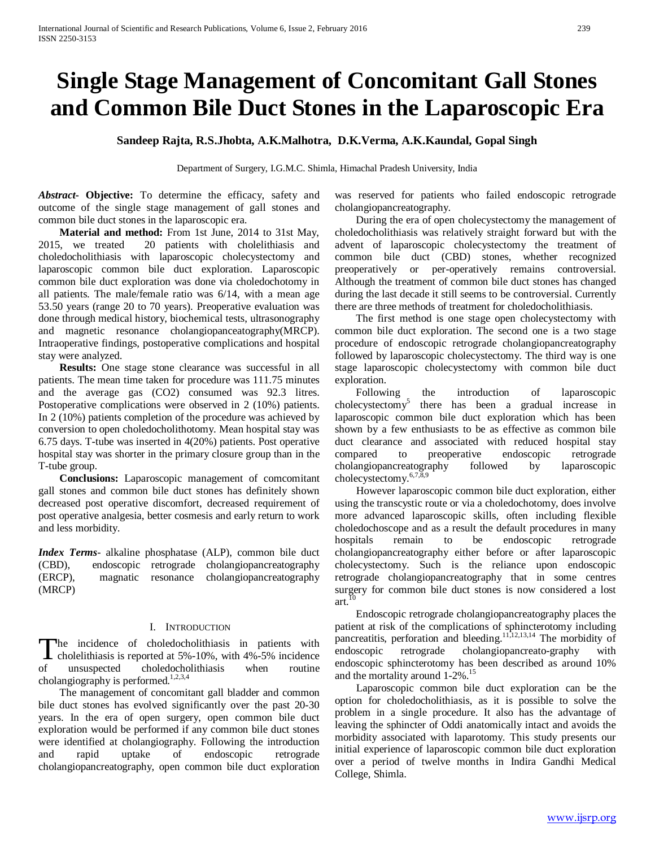# **Single Stage Management of Concomitant Gall Stones and Common Bile Duct Stones in the Laparoscopic Era**

**Sandeep Rajta, R.S.Jhobta, A.K.Malhotra, D.K.Verma, A.K.Kaundal, Gopal Singh**

Department of Surgery, I.G.M.C. Shimla, Himachal Pradesh University, India

*Abstract***- Objective:** To determine the efficacy, safety and outcome of the single stage management of gall stones and common bile duct stones in the laparoscopic era.

 **Material and method:** From 1st June, 2014 to 31st May, 2015, we treated 20 patients with cholelithiasis and choledocholithiasis with laparoscopic cholecystectomy and laparoscopic common bile duct exploration. Laparoscopic common bile duct exploration was done via choledochotomy in all patients. The male/female ratio was 6/14, with a mean age 53.50 years (range 20 to 70 years). Preoperative evaluation was done through medical history, biochemical tests, ultrasonography and magnetic resonance cholangiopanceatography(MRCP). Intraoperative findings, postoperative complications and hospital stay were analyzed.

**Results:** One stage stone clearance was successful in all patients. The mean time taken for procedure was 111.75 minutes and the average gas (CO2) consumed was 92.3 litres. Postoperative complications were observed in 2 (10%) patients. In 2 (10%) patients completion of the procedure was achieved by conversion to open choledocholithotomy. Mean hospital stay was 6.75 days. T-tube was inserted in 4(20%) patients. Post operative hospital stay was shorter in the primary closure group than in the T-tube group.

 **Conclusions:** Laparoscopic management of comcomitant gall stones and common bile duct stones has definitely shown decreased post operative discomfort, decreased requirement of post operative analgesia, better cosmesis and early return to work and less morbidity.

*Index Terms*- alkaline phosphatase (ALP), common bile duct (CBD), endoscopic retrograde cholangiopancreatography (ERCP), magnatic resonance cholangiopancreatography (MRCP)

# I. INTRODUCTION

he incidence of choledocholithiasis in patients with The incidence of choledocholithiasis in patients with<br>cholelithiasis is reported at 5%-10%, with 4%-5% incidence of unsuspected choledocholithiasis when routine cholangiography is performed. $1,2,3,4$ 

 The management of concomitant gall bladder and common bile duct stones has evolved significantly over the past 20-30 years. In the era of open surgery, open common bile duct exploration would be performed if any common bile duct stones were identified at cholangiography. Following the introduction and rapid uptake of endoscopic retrograde cholangiopancreatography, open common bile duct exploration was reserved for patients who failed endoscopic retrograde cholangiopancreatography.

 During the era of open cholecystectomy the management of choledocholithiasis was relatively straight forward but with the advent of laparoscopic cholecystectomy the treatment of common bile duct (CBD) stones, whether recognized preoperatively or per-operatively remains controversial. Although the treatment of common bile duct stones has changed during the last decade it still seems to be controversial. Currently there are three methods of treatment for choledocholithiasis.

 The first method is one stage open cholecystectomy with common bile duct exploration. The second one is a two stage procedure of endoscopic retrograde cholangiopancreatography followed by laparoscopic cholecystectomy. The third way is one stage laparoscopic cholecystectomy with common bile duct exploration.

 Following the introduction of laparoscopic cholecystectomy5 there has been a gradual increase in laparoscopic common bile duct exploration which has been shown by a few enthusiasts to be as effective as common bile duct clearance and associated with reduced hospital stay compared to preoperative endoscopic retrograde cholangiopancreatography followed by laparoscopic cholecystectomy.6,7,8,9

 However laparoscopic common bile duct exploration, either using the transcystic route or via a choledochotomy, does involve more advanced laparoscopic skills, often including flexible choledochoscope and as a result the default procedures in many hospitals remain to be endoscopic retrograde cholangiopancreatography either before or after laparoscopic cholecystectomy. Such is the reliance upon endoscopic retrograde cholangiopancreatography that in some centres surgery for common bile duct stones is now considered a lost art.

 Endoscopic retrograde cholangiopancreatography places the patient at risk of the complications of sphincterotomy including pancreatitis, perforation and bleeding.<sup>11,12,13,14</sup> The morbidity of endoscopic retrograde cholangiopancreato-graphy with endoscopic sphincterotomy has been described as around 10% and the mortality around 1-2%.<sup>15</sup>

 Laparoscopic common bile duct exploration can be the option for choledocholithiasis, as it is possible to solve the problem in a single procedure. It also has the advantage of leaving the sphincter of Oddi anatomically intact and avoids the morbidity associated with laparotomy. This study presents our initial experience of laparoscopic common bile duct exploration over a period of twelve months in Indira Gandhi Medical College, Shimla.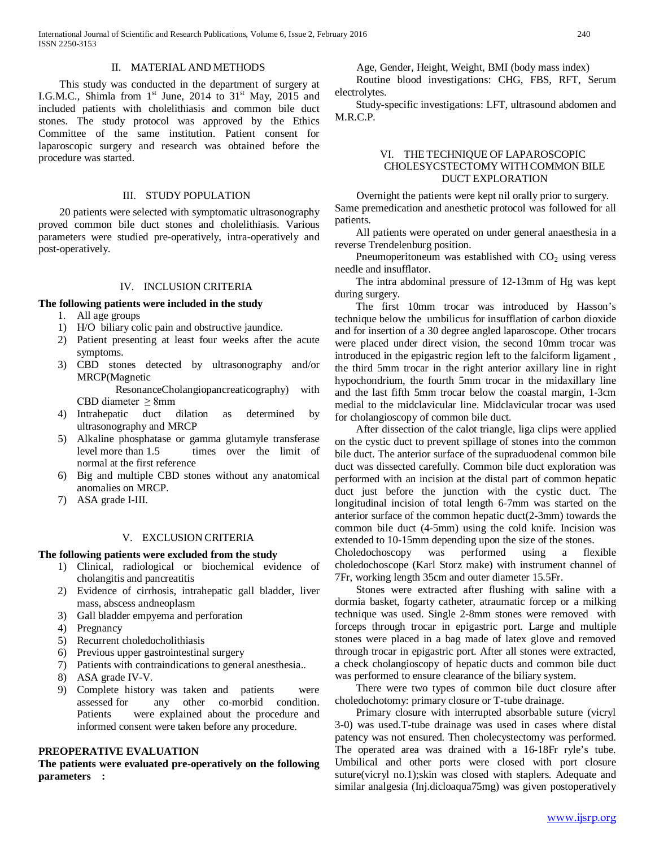#### II. MATERIAL AND METHODS

 This study was conducted in the department of surgery at I.G.M.C., Shimla from  $1<sup>st</sup>$  June, 2014 to  $31<sup>st</sup>$  May, 2015 and included patients with cholelithiasis and common bile duct stones. The study protocol was approved by the Ethics Committee of the same institution. Patient consent for laparoscopic surgery and research was obtained before the procedure was started.

# III. STUDY POPULATION

 20 patients were selected with symptomatic ultrasonography proved common bile duct stones and cholelithiasis. Various parameters were studied pre-operatively, intra-operatively and post-operatively.

## IV. INCLUSION CRITERIA

#### **The following patients were included in the study**

- 1. All age groups
- 1) H/O biliary colic pain and obstructive jaundice.
- 2) Patient presenting at least four weeks after the acute symptoms.
- 3) CBD stones detected by ultrasonography and/or MRCP(Magnetic

ResonanceCholangiopancreaticography) with CBD diameter  $\geq$  8mm

- 4) Intrahepatic duct dilation as determined by ultrasonography and MRCP
- 5) Alkaline phosphatase or gamma glutamyle transferase level more than 1.5 times over the limit of normal at the first reference
- 6) Big and multiple CBD stones without any anatomical anomalies on MRCP.
- 7) ASA grade I-III.

# V. EXCLUSION CRITERIA

#### **The following patients were excluded from the study**

- 1) Clinical, radiological or biochemical evidence of cholangitis and pancreatitis
- 2) Evidence of cirrhosis, intrahepatic gall bladder, liver mass, abscess andneoplasm
- 3) Gall bladder empyema and perforation
- 4) Pregnancy
- 5) Recurrent choledocholithiasis
- 6) Previous upper gastrointestinal surgery
- 7) Patients with contraindications to general anesthesia..
- 8) ASA grade IV-V.
- 9) Complete history was taken and patients were assessed for any other co-morbid condition. Patients were explained about the procedure and informed consent were taken before any procedure.

# **PREOPERATIVE EVALUATION**

**The patients were evaluated pre-operatively on the following parameters :**

Age, Gender, Height, Weight, BMI (body mass index)

 Routine blood investigations: CHG, FBS, RFT, Serum electrolytes.

 Study-specific investigations: LFT, ultrasound abdomen and M.R.C.P.

# VI. THE TECHNIQUE OF LAPAROSCOPIC CHOLESYCSTECTOMY WITH COMMON BILE DUCT EXPLORATION

 Overnight the patients were kept nil orally prior to surgery. Same premedication and anesthetic protocol was followed for all patients.

 All patients were operated on under general anaesthesia in a reverse Trendelenburg position.

Pneumoperitoneum was established with  $CO<sub>2</sub>$  using veress needle and insufflator.

 The intra abdominal pressure of 12-13mm of Hg was kept during surgery.

 The first 10mm trocar was introduced by Hasson's technique below the umbilicus for insufflation of carbon dioxide and for insertion of a 30 degree angled laparoscope. Other trocars were placed under direct vision, the second 10mm trocar was introduced in the epigastric region left to the falciform ligament , the third 5mm trocar in the right anterior axillary line in right hypochondrium, the fourth 5mm trocar in the midaxillary line and the last fifth 5mm trocar below the coastal margin, 1-3cm medial to the midclavicular line. Midclavicular trocar was used for cholangioscopy of common bile duct.

 After dissection of the calot triangle, liga clips were applied on the cystic duct to prevent spillage of stones into the common bile duct. The anterior surface of the supraduodenal common bile duct was dissected carefully. Common bile duct exploration was performed with an incision at the distal part of common hepatic duct just before the junction with the cystic duct. The longitudinal incision of total length 6-7mm was started on the anterior surface of the common hepatic duct(2-3mm) towards the common bile duct (4-5mm) using the cold knife. Incision was extended to 10-15mm depending upon the size of the stones.

Choledochoscopy was performed using a flexible choledochoscope (Karl Storz make) with instrument channel of 7Fr, working length 35cm and outer diameter 15.5Fr.

 Stones were extracted after flushing with saline with a dormia basket, fogarty catheter, atraumatic forcep or a milking technique was used. Single 2-8mm stones were removed with forceps through trocar in epigastric port. Large and multiple stones were placed in a bag made of latex glove and removed through trocar in epigastric port. After all stones were extracted, a check cholangioscopy of hepatic ducts and common bile duct was performed to ensure clearance of the biliary system.

 There were two types of common bile duct closure after choledochotomy: primary closure or T-tube drainage.

 Primary closure with interrupted absorbable suture (vicryl 3-0) was used.T-tube drainage was used in cases where distal patency was not ensured. Then cholecystectomy was performed. The operated area was drained with a 16-18Fr ryle's tube. Umbilical and other ports were closed with port closure suture(vicryl no.1);skin was closed with staplers. Adequate and similar analgesia (Inj.dicloaqua75mg) was given postoperatively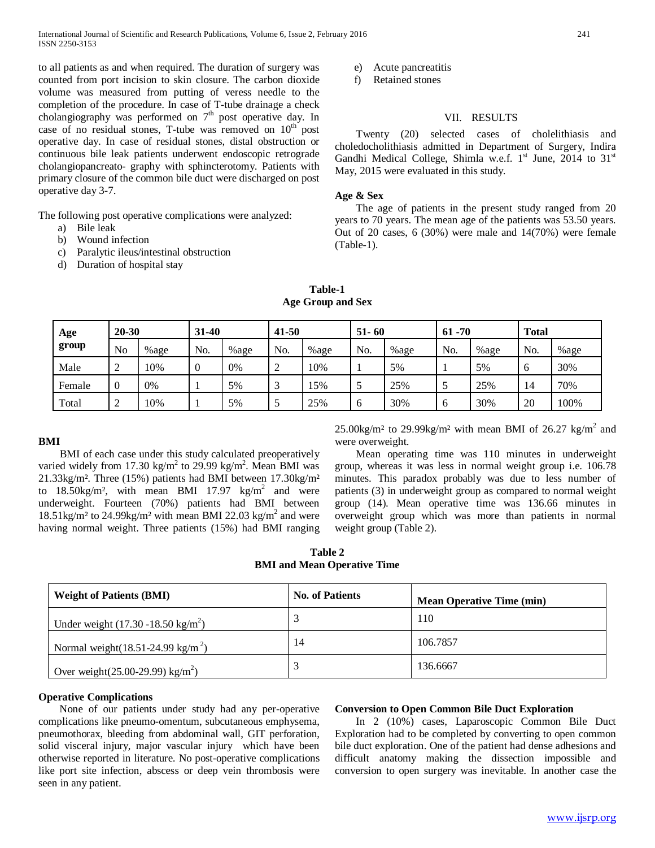to all patients as and when required. The duration of surgery was counted from port incision to skin closure. The carbon dioxide volume was measured from putting of veress needle to the completion of the procedure. In case of T-tube drainage a check cholangiography was performed on  $7<sup>th</sup>$  post operative day. In case of no residual stones, T-tube was removed on  $10<sup>th</sup>$  post operative day. In case of residual stones, distal obstruction or continuous bile leak patients underwent endoscopic retrograde cholangiopancreato- graphy with sphincterotomy. Patients with primary closure of the common bile duct were discharged on post operative day 3-7.

The following post operative complications were analyzed:

- a) Bile leak
- b) Wound infection
- c) Paralytic ileus/intestinal obstruction
- d) Duration of hospital stay

e) Acute pancreatitis

f) Retained stones

# VII. RESULTS

 Twenty (20) selected cases of cholelithiasis and choledocholithiasis admitted in Department of Surgery, Indira Gandhi Medical College, Shimla w.e.f.  $1<sup>st</sup>$  June, 2014 to  $31<sup>st</sup>$ May, 2015 were evaluated in this study.

## **Age & Sex**

 The age of patients in the present study ranged from 20 years to 70 years. The mean age of the patients was 53.50 years. Out of 20 cases, 6 (30%) were male and 14(70%) were female (Table-1).

| Age    | $20 - 30$      |      | $31 - 40$ |      | $41 - 50$ |      | $51 - 60$ |      | $61 - 70$ |      | <b>Total</b> |      |
|--------|----------------|------|-----------|------|-----------|------|-----------|------|-----------|------|--------------|------|
| group  | N <sub>o</sub> | %age | No.       | %age | No.       | %age | No.       | %age | No.       | %age | No.          | %age |
| Male   | ി<br>∠         | 10%  | 0         | 0%   | 2         | 10%  |           | 5%   |           | 5%   |              | 30%  |
| Female | $\theta$       | 0%   |           | 5%   |           | 15%  |           | 25%  | ◡         | 25%  | 14           | 70%  |
| Total  | ∼              | 10%  |           | 5%   | J         | 25%  | O         | 30%  | O         | 30%  | 20           | 100% |

**Table-1 Age Group and Sex**

# **BMI**

 BMI of each case under this study calculated preoperatively varied widely from 17.30  $\text{kg/m}^2$  to 29.99  $\text{kg/m}^2$ . Mean BMI was 21.33kg/m². Three (15%) patients had BMI between 17.30kg/m² to  $18.50\text{kg/m}^2$ , with mean BMI 17.97 kg/m<sup>2</sup> and were underweight. Fourteen (70%) patients had BMI between  $18.51\text{kg/m}^2$  to  $24.99\text{kg/m}^2$  with mean BMI 22.03 kg/m<sup>2</sup> and were having normal weight. Three patients (15%) had BMI ranging

 $25.00\text{kg/m}^2$  to  $29.99\text{kg/m}^2$  with mean BMI of  $26.27 \text{ kg/m}^2$  and were overweight.

 Mean operating time was 110 minutes in underweight group, whereas it was less in normal weight group i.e. 106.78 minutes. This paradox probably was due to less number of patients (3) in underweight group as compared to normal weight group (14). Mean operative time was 136.66 minutes in overweight group which was more than patients in normal weight group (Table 2).

| Table 2 |  |  |                                    |  |  |  |
|---------|--|--|------------------------------------|--|--|--|
|         |  |  | <b>BMI</b> and Mean Operative Time |  |  |  |

| <b>Weight of Patients (BMI)</b>                    | <b>No. of Patients</b> | <b>Mean Operative Time (min)</b> |
|----------------------------------------------------|------------------------|----------------------------------|
| Under weight $(17.30 - 18.50 \text{ kg/m}^2)$      |                        | 110                              |
| Normal weight $(18.51-24.99 \text{ kg/m}^2)$       | 14                     | 106.7857                         |
| Over weight $(25.00{\text -}29.99) \text{ kg/m}^2$ |                        | 136.6667                         |

## **Operative Complications**

 None of our patients under study had any per-operative complications like pneumo-omentum, subcutaneous emphysema, pneumothorax, bleeding from abdominal wall, GIT perforation, solid visceral injury, major vascular injury which have been otherwise reported in literature. No post-operative complications like port site infection, abscess or deep vein thrombosis were seen in any patient.

#### **Conversion to Open Common Bile Duct Exploration**

 In 2 (10%) cases, Laparoscopic Common Bile Duct Exploration had to be completed by converting to open common bile duct exploration. One of the patient had dense adhesions and difficult anatomy making the dissection impossible and conversion to open surgery was inevitable. In another case the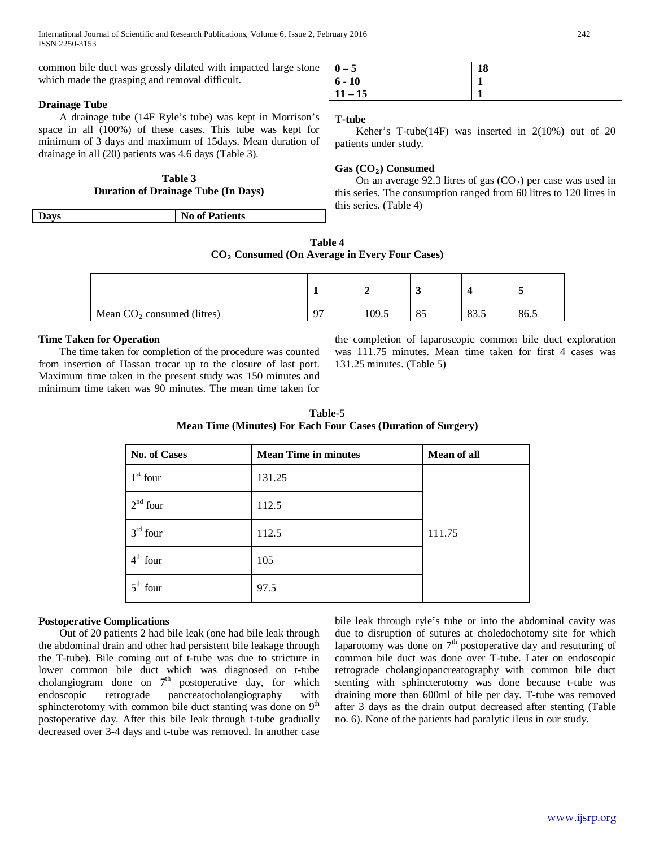common bile duct was grossly dilated with impacted large stone which made the grasping and removal difficult.

## **Drainage Tube**

 A drainage tube (14F Ryle's tube) was kept in Morrison's space in all (100%) of these cases. This tube was kept for minimum of 3 days and maximum of 15days. Mean duration of drainage in all (20) patients was 4.6 days (Table 3).

# **Table 3 Duration of Drainage Tube (In Days)**

| $-$ | $\mathbf{N}\mathbf{a}$<br><b>Patients</b><br>0t |
|-----|-------------------------------------------------|
|     |                                                 |

| $0 - 5$   | 18 |
|-----------|----|
| $6 - 10$  |    |
| $11 - 15$ |    |

## **T-tube**

 Keher's T-tube(14F) was inserted in 2(10%) out of 20 patients under study.

# Gas (CO<sub>2</sub>) Consumed

On an average 92.3 litres of gas  $(CO<sub>2</sub>)$  per case was used in this series. The consumption ranged from 60 litres to 120 litres in this series. (Table 4)

| <b>Table 4</b>                                  |  |
|-------------------------------------------------|--|
| $CO2$ Consumed (On Average in Every Four Cases) |  |

| Mean $CO2$ consumed (litres) | 07 | 109.5 | 85 | 83.5 | 86.5 |
|------------------------------|----|-------|----|------|------|

## **Time Taken for Operation**

 The time taken for completion of the procedure was counted from insertion of Hassan trocar up to the closure of last port. Maximum time taken in the present study was 150 minutes and minimum time taken was 90 minutes. The mean time taken for

the completion of laparoscopic common bile duct exploration was 111.75 minutes. Mean time taken for first 4 cases was 131.25 minutes. (Table 5)

| <b>Table-5</b>                                                       |
|----------------------------------------------------------------------|
| <b>Mean Time (Minutes) For Each Four Cases (Duration of Surgery)</b> |

| No. of Cases | <b>Mean Time in minutes</b> | <b>Mean of all</b> |
|--------------|-----------------------------|--------------------|
| $1st$ four   | 131.25                      |                    |
| $2nd$ four   | 112.5                       |                    |
| $3rd$ four   | 112.5                       | 111.75             |
| $4th$ four   | 105                         |                    |
| $5th$ four   | 97.5                        |                    |

# **Postoperative Complications**

 Out of 20 patients 2 had bile leak (one had bile leak through the abdominal drain and other had persistent bile leakage through the T-tube). Bile coming out of t-tube was due to stricture in lower common bile duct which was diagnosed on t-tube cholangiogram done on  $7<sup>th</sup>$  postoperative day, for which endoscopic retrograde pancreatocholangiography with sphincterotomy with common bile duct stanting was done on  $9<sup>th</sup>$ postoperative day. After this bile leak through t-tube gradually decreased over 3-4 days and t-tube was removed. In another case

bile leak through ryle's tube or into the abdominal cavity was due to disruption of sutures at choledochotomy site for which laparotomy was done on  $7<sup>th</sup>$  postoperative day and resuturing of common bile duct was done over T-tube. Later on endoscopic retrograde cholangiopancreatography with common bile duct stenting with sphincterotomy was done because t-tube was draining more than 600ml of bile per day. T-tube was removed after 3 days as the drain output decreased after stenting (Table no. 6). None of the patients had paralytic ileus in our study.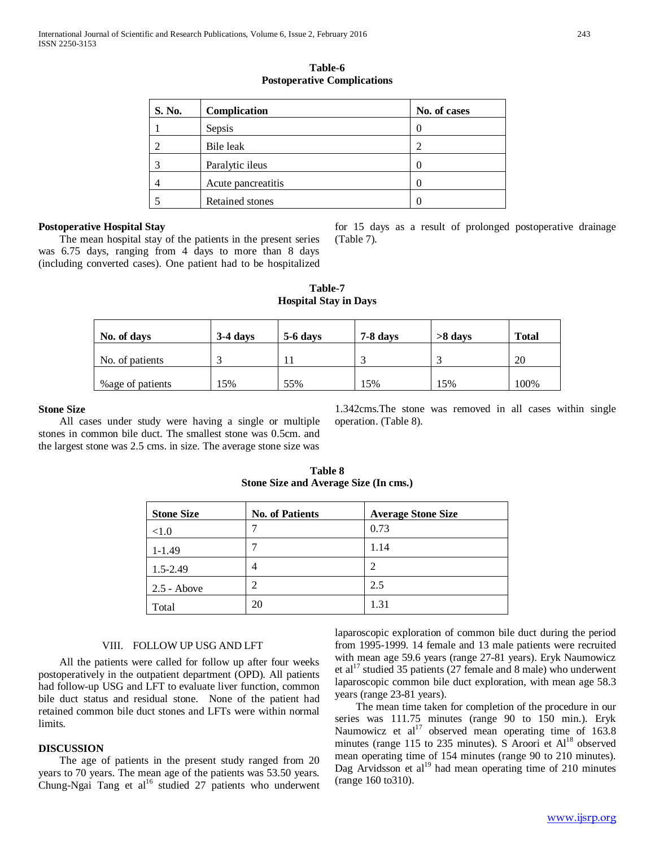| S. No. | Complication           | No. of cases |
|--------|------------------------|--------------|
|        | Sepsis                 |              |
| 2      | Bile leak              |              |
| 3      | Paralytic ileus        |              |
| 4      | Acute pancreatitis     |              |
| 5      | <b>Retained stones</b> |              |

**Table-6 Postoperative Complications**

#### **Postoperative Hospital Stay**

 The mean hospital stay of the patients in the present series was 6.75 days, ranging from 4 days to more than 8 days (including converted cases). One patient had to be hospitalized for 15 days as a result of prolonged postoperative drainage (Table 7).

| Table-7                      |  |  |  |  |  |
|------------------------------|--|--|--|--|--|
| <b>Hospital Stay in Days</b> |  |  |  |  |  |

| No. of days       | $3-4$ days | $5-6$ days | 7-8 days | $>8$ days | <b>Total</b> |
|-------------------|------------|------------|----------|-----------|--------------|
| No. of patients   |            |            |          |           | 20           |
| % age of patients | 15%        | 55%        | 15%      | 15%       | 100%         |

#### **Stone Size**

 All cases under study were having a single or multiple stones in common bile duct. The smallest stone was 0.5cm. and the largest stone was 2.5 cms. in size. The average stone size was

1.342cms.The stone was removed in all cases within single operation. (Table 8).

**Table 8 Stone Size and Average Size (In cms.)**

| <b>Stone Size</b> | <b>No. of Patients</b> | <b>Average Stone Size</b> |
|-------------------|------------------------|---------------------------|
| < 1.0             |                        | 0.73                      |
| $1 - 1.49$        |                        | 1.14                      |
| $1.5 - 2.49$      | $\overline{4}$         | 2                         |
| $2.5 - Above$     |                        | 2.5                       |
| Total             | 20                     | 1.31                      |

#### VIII. FOLLOW UP USG AND LFT

 All the patients were called for follow up after four weeks postoperatively in the outpatient department (OPD). All patients had follow-up USG and LFT to evaluate liver function, common bile duct status and residual stone. None of the patient had retained common bile duct stones and LFTs were within normal limits.

## **DISCUSSION**

 The age of patients in the present study ranged from 20 years to 70 years. The mean age of the patients was 53.50 years. Chung-Ngai Tang et al<sup>16</sup> studied 27 patients who underwent laparoscopic exploration of common bile duct during the period from 1995-1999. 14 female and 13 male patients were recruited with mean age 59.6 years (range 27-81 years). Eryk Naumowicz et al<sup>17</sup> studied 35 patients (27 female and 8 male) who underwent laparoscopic common bile duct exploration, with mean age 58.3 years (range 23-81 years).

 The mean time taken for completion of the procedure in our series was 111.75 minutes (range 90 to 150 min.). Eryk Naumowicz et  $al^{17}$  observed mean operating time of 163.8 minutes (range 115 to 235 minutes). S Aroori et  $Al<sup>18</sup>$  observed mean operating time of 154 minutes (range 90 to 210 minutes). Dag Arvidsson et  $al<sup>19</sup>$  had mean operating time of 210 minutes (range 160 to310).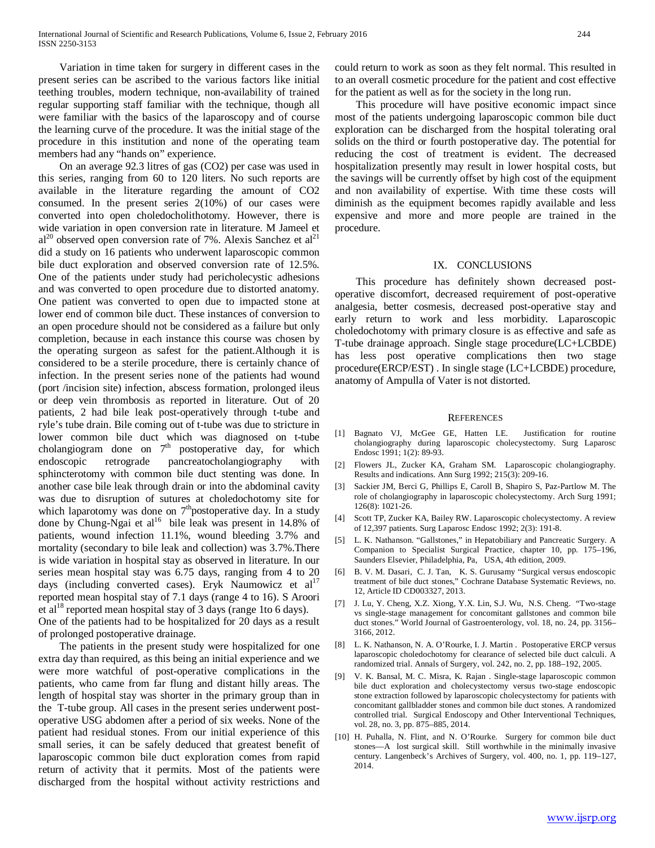Variation in time taken for surgery in different cases in the present series can be ascribed to the various factors like initial teething troubles, modern technique, non-availability of trained regular supporting staff familiar with the technique, though all were familiar with the basics of the laparoscopy and of course the learning curve of the procedure. It was the initial stage of the procedure in this institution and none of the operating team members had any "hands on" experience.

 On an average 92.3 litres of gas (CO2) per case was used in this series, ranging from 60 to 120 liters. No such reports are available in the literature regarding the amount of CO2 consumed. In the present series 2(10%) of our cases were converted into open choledocholithotomy. However, there is wide variation in open conversion rate in literature. M Jameel et  $al^{20}$  observed open conversion rate of 7%. Alexis Sanchez et  $al^{21}$ did a study on 16 patients who underwent laparoscopic common bile duct exploration and observed conversion rate of 12.5%. One of the patients under study had pericholecystic adhesions and was converted to open procedure due to distorted anatomy. One patient was converted to open due to impacted stone at lower end of common bile duct. These instances of conversion to an open procedure should not be considered as a failure but only completion, because in each instance this course was chosen by the operating surgeon as safest for the patient.Although it is considered to be a sterile procedure, there is certainly chance of infection. In the present series none of the patients had wound (port /incision site) infection, abscess formation, prolonged ileus or deep vein thrombosis as reported in literature. Out of 20 patients, 2 had bile leak post-operatively through t-tube and ryle's tube drain. Bile coming out of t-tube was due to stricture in lower common bile duct which was diagnosed on t-tube cholangiogram done on  $7<sup>th</sup>$  postoperative day, for which endoscopic retrograde pancreatocholangiography with sphincterotomy with common bile duct stenting was done. In another case bile leak through drain or into the abdominal cavity was due to disruption of sutures at choledochotomy site for which laparotomy was done on  $7<sup>th</sup>$  postoperative day. In a study done by Chung-Ngai et  $al^{16}$  bile leak was present in 14.8% of patients, wound infection 11.1%, wound bleeding 3.7% and mortality (secondary to bile leak and collection) was 3.7%.There is wide variation in hospital stay as observed in literature. In our series mean hospital stay was 6.75 days, ranging from 4 to 20 days (including converted cases). Eryk Naumowicz et  $al<sup>17</sup>$ reported mean hospital stay of 7.1 days (range 4 to 16). S Aroori et al<sup>18</sup> reported mean hospital stay of 3 days (range 1to 6 days). One of the patients had to be hospitalized for 20 days as a result of prolonged postoperative drainage.

 The patients in the present study were hospitalized for one extra day than required, as this being an initial experience and we were more watchful of post-operative complications in the patients, who came from far flung and distant hilly areas. The length of hospital stay was shorter in the primary group than in the T-tube group. All cases in the present series underwent postoperative USG abdomen after a period of six weeks. None of the patient had residual stones. From our initial experience of this small series, it can be safely deduced that greatest benefit of laparoscopic common bile duct exploration comes from rapid return of activity that it permits. Most of the patients were discharged from the hospital without activity restrictions and could return to work as soon as they felt normal. This resulted in to an overall cosmetic procedure for the patient and cost effective for the patient as well as for the society in the long run.

 This procedure will have positive economic impact since most of the patients undergoing laparoscopic common bile duct exploration can be discharged from the hospital tolerating oral solids on the third or fourth postoperative day. The potential for reducing the cost of treatment is evident. The decreased hospitalization presently may result in lower hospital costs, but the savings will be currently offset by high cost of the equipment and non availability of expertise. With time these costs will diminish as the equipment becomes rapidly available and less expensive and more and more people are trained in the procedure.

## IX. CONCLUSIONS

 This procedure has definitely shown decreased postoperative discomfort, decreased requirement of post-operative analgesia, better cosmesis, decreased post-operative stay and early return to work and less morbidity. Laparoscopic choledochotomy with primary closure is as effective and safe as T-tube drainage approach. Single stage procedure(LC+LCBDE) has less post operative complications then two stage procedure(ERCP/EST) . In single stage (LC+LCBDE) procedure, anatomy of Ampulla of Vater is not distorted.

#### **REFERENCES**

- [1] Bagnato VJ, McGee GE, Hatten LE. Justification for routine cholangiography during laparoscopic cholecystectomy. Surg Laparosc Endosc 1991; 1(2): 89-93.
- [2] Flowers JL, Zucker KA, Graham SM. Laparoscopic cholangiography. Results and indications. Ann Surg 1992; 215(3): 209-16.
- [3] Sackier JM, Berci G, Phillips E, Caroll B, Shapiro S, Paz-Partlow M. The role of cholangiography in laparoscopic cholecystectomy. Arch Surg 1991; 126(8): 1021-26.
- [4] Scott TP, Zucker KA, Bailey RW. Laparoscopic cholecystectomy. A review of 12,397 patients. Surg Laparosc Endosc 1992; 2(3): 191-8.
- [5] L. K. Nathanson. "Gallstones," in Hepatobiliary and Pancreatic Surgery. A Companion to Specialist Surgical Practice, chapter 10, pp. 175–196, Saunders Elsevier, Philadelphia, Pa, USA, 4th edition, 2009.
- [6] B. V. M. Dasari, C. J. Tan, K. S. Gurusamy "Surgical versus endoscopic treatment of bile duct stones," Cochrane Database Systematic Reviews, no. 12, Article ID CD003327, 2013.
- [7] J. Lu, Y. Cheng, X.Z. Xiong, Y.X. Lin, S.J. Wu, N.S. Cheng. "Two-stage vs single-stage management for concomitant gallstones and common bile duct stones." World Journal of Gastroenterology, vol. 18, no. 24, pp. 3156– 3166, 2012.
- [8] L. K. Nathanson, N. A. O'Rourke, I. J. Martin . Postoperative ERCP versus laparoscopic choledochotomy for clearance of selected bile duct calculi. A randomized trial. Annals of Surgery, vol. 242, no. 2, pp. 188–192, 2005.
- [9] V. K. Bansal, M. C. Misra, K. Rajan . Single-stage laparoscopic common bile duct exploration and cholecystectomy versus two-stage endoscopic stone extraction followed by laparoscopic cholecystectomy for patients with concomitant gallbladder stones and common bile duct stones. A randomized controlled trial. Surgical Endoscopy and Other Interventional Techniques, vol. 28, no. 3, pp. 875–885, 2014.
- [10] H. Puhalla, N. Flint, and N. O'Rourke. Surgery for common bile duct stones—A lost surgical skill. Still worthwhile in the minimally invasive century. Langenbeck's Archives of Surgery, vol. 400, no. 1, pp. 119–127, 2014.